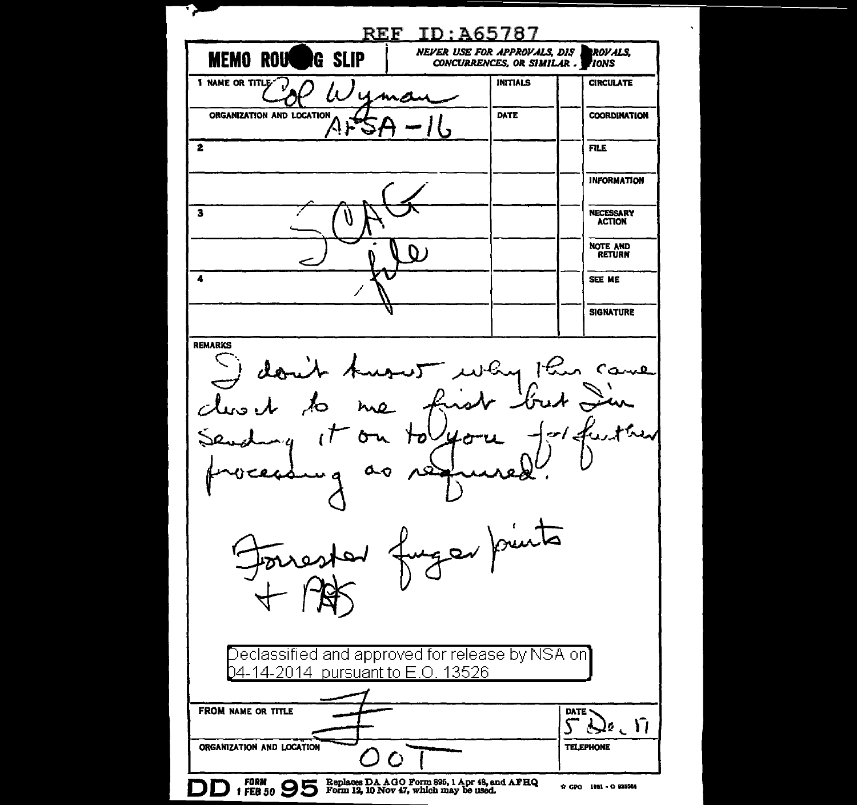REF TD:A65787 **NEVER USE FOR APPROVALS, DIS** ROVALS, MEMO ROU**to** G SLIP CONCURRENCES, OR SIMILAR. **TONS 1 NAME OR TITLE" INITIALS CIRCULATE** uma ORGANIZATION AND LOCATION DATE **COORDINATION** ΛF  $\overline{\mathbf{2}}$ **FILE INFORMATION**  $\overline{\mathbf{3}}$ **NECESSARY ACTION** NOTE AND n , **RETURN**  $\overline{\mathbf{A}}$ SEE ME **SIGNATURE REMARKS** why this came don't  $\boldsymbol{\mathcal{A}}$  $h \wedge \Omega$  $\sim \sim \lambda$ يدرجح ነታ ሌ $\sigma$ ger punts Declassified and approved for release by NSA on 04-14-2014 pursuant to E.O. 13526 FROM NAME OR TITLE DATE - $\mathcal{L}$  ,  $\mathcal{L}$ ↸ ORGANIZATION AND LOCATION **TELEPHONE** Ō FORM OD Replaces DA AGO Form 896, 1 Apr 48, and AFEQ I FEB 50  $\bigcirc$  Form 12, 10 Nov 47, which may be used. ☆ GPO 1851 - O 925564